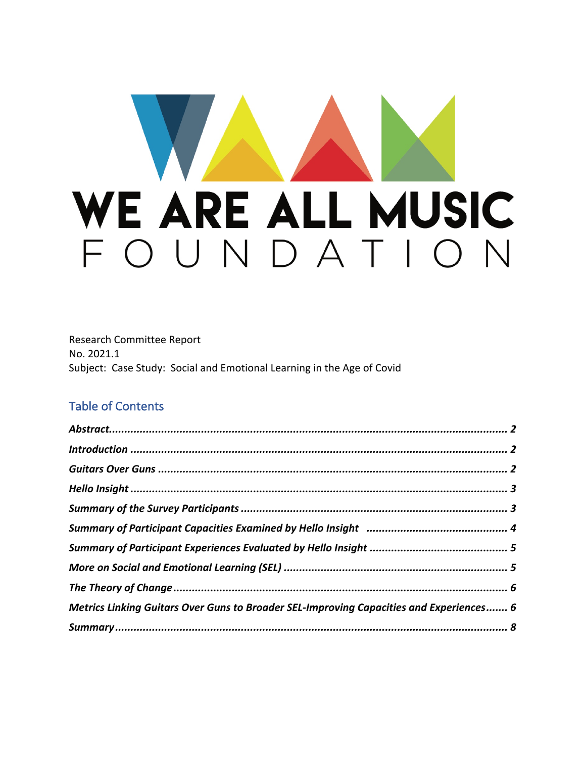# WE ARE ALL MUSIC FOUNDATION

Research Committee Report No. 2021.1 Subject: Case Study: Social and Emotional Learning in the Age of Covid

#### Table of Contents

| Metrics Linking Guitars Over Guns to Broader SEL-Improving Capacities and Experiences 6 |  |
|-----------------------------------------------------------------------------------------|--|
|                                                                                         |  |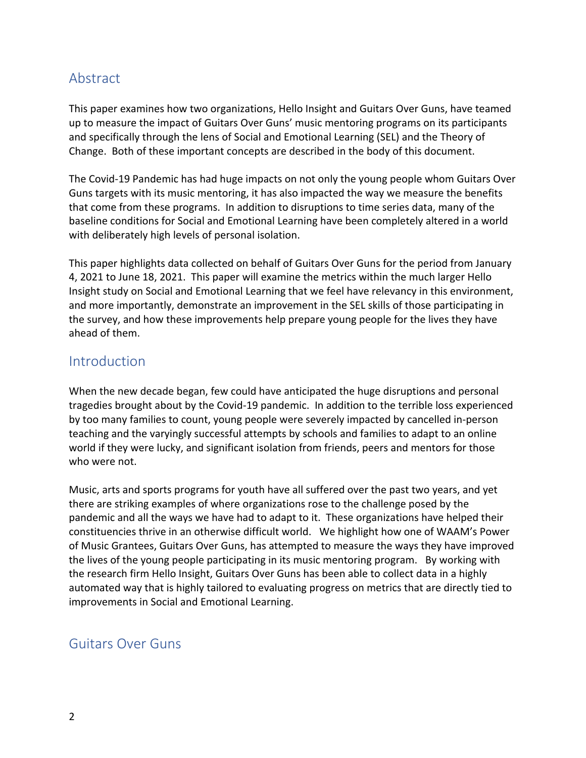#### Abstract

This paper examines how two organizations, Hello Insight and Guitars Over Guns, have teamed up to measure the impact of Guitars Over Guns' music mentoring programs on its participants and specifically through the lens of Social and Emotional Learning (SEL) and the Theory of Change. Both of these important concepts are described in the body of this document.

The Covid-19 Pandemic has had huge impacts on not only the young people whom Guitars Over Guns targets with its music mentoring, it has also impacted the way we measure the benefits that come from these programs. In addition to disruptions to time series data, many of the baseline conditions for Social and Emotional Learning have been completely altered in a world with deliberately high levels of personal isolation.

This paper highlights data collected on behalf of Guitars Over Guns for the period from January 4, 2021 to June 18, 2021. This paper will examine the metrics within the much larger Hello Insight study on Social and Emotional Learning that we feel have relevancy in this environment, and more importantly, demonstrate an improvement in the SEL skills of those participating in the survey, and how these improvements help prepare young people for the lives they have ahead of them.

#### **Introduction**

When the new decade began, few could have anticipated the huge disruptions and personal tragedies brought about by the Covid-19 pandemic. In addition to the terrible loss experienced by too many families to count, young people were severely impacted by cancelled in-person teaching and the varyingly successful attempts by schools and families to adapt to an online world if they were lucky, and significant isolation from friends, peers and mentors for those who were not.

Music, arts and sports programs for youth have all suffered over the past two years, and yet there are striking examples of where organizations rose to the challenge posed by the pandemic and all the ways we have had to adapt to it. These organizations have helped their constituencies thrive in an otherwise difficult world. We highlight how one of WAAM's Power of Music Grantees, Guitars Over Guns, has attempted to measure the ways they have improved the lives of the young people participating in its music mentoring program. By working with the research firm Hello Insight, Guitars Over Guns has been able to collect data in a highly automated way that is highly tailored to evaluating progress on metrics that are directly tied to improvements in Social and Emotional Learning.

#### Guitars Over Guns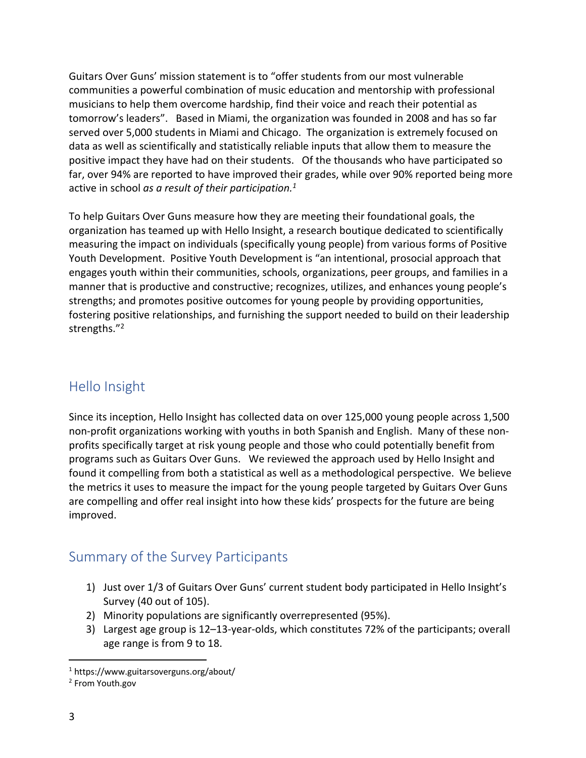Guitars Over Guns' mission statement is to "offer students from our most vulnerable communities a powerful combination of music education and mentorship with professional musicians to help them overcome hardship, find their voice and reach their potential as tomorrow's leaders". Based in Miami, the organization was founded in 2008 and has so far served over 5,000 students in Miami and Chicago. The organization is extremely focused on data as well as scientifically and statistically reliable inputs that allow them to measure the positive impact they have had on their students. Of the thousands who have participated so far, over 94% are reported to have improved their grades, while over 90% reported being more active in school *as a result of their participation.1*

To help Guitars Over Guns measure how they are meeting their foundational goals, the organization has teamed up with Hello Insight, a research boutique dedicated to scientifically measuring the impact on individuals (specifically young people) from various forms of Positive Youth Development. Positive Youth Development is "an intentional, prosocial approach that engages youth within their communities, schools, organizations, peer groups, and families in a manner that is productive and constructive; recognizes, utilizes, and enhances young people's strengths; and promotes positive outcomes for young people by providing opportunities, fostering positive relationships, and furnishing the support needed to build on their leadership strengths."2

## Hello Insight

Since its inception, Hello Insight has collected data on over 125,000 young people across 1,500 non-profit organizations working with youths in both Spanish and English. Many of these nonprofits specifically target at risk young people and those who could potentially benefit from programs such as Guitars Over Guns. We reviewed the approach used by Hello Insight and found it compelling from both a statistical as well as a methodological perspective. We believe the metrics it uses to measure the impact for the young people targeted by Guitars Over Guns are compelling and offer real insight into how these kids' prospects for the future are being improved.

#### Summary of the Survey Participants

- 1) Just over 1/3 of Guitars Over Guns' current student body participated in Hello Insight's Survey (40 out of 105).
- 2) Minority populations are significantly overrepresented (95%).
- 3) Largest age group is 12–13-year-olds, which constitutes 72% of the participants; overall age range is from 9 to 18.

<sup>1</sup> https://www.guitarsoverguns.org/about/

<sup>2</sup> From Youth.gov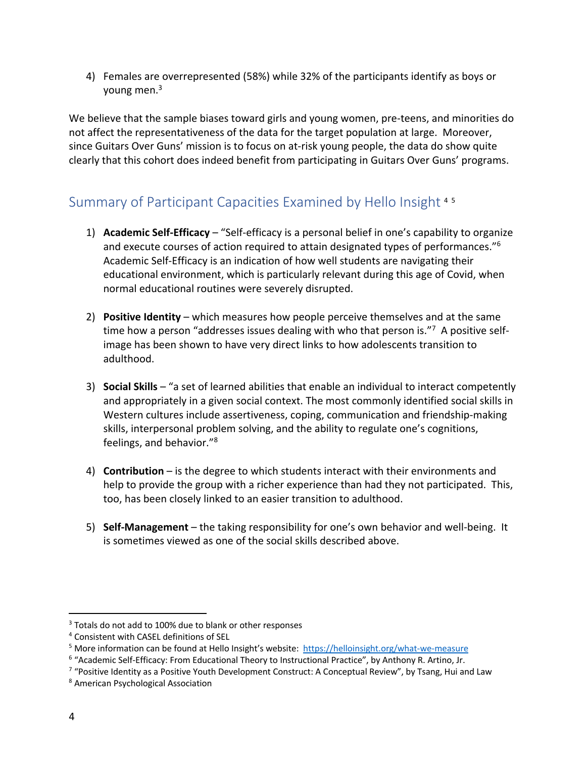4) Females are overrepresented (58%) while 32% of the participants identify as boys or young men. 3

We believe that the sample biases toward girls and young women, pre-teens, and minorities do not affect the representativeness of the data for the target population at large. Moreover, since Guitars Over Guns' mission is to focus on at-risk young people, the data do show quite clearly that this cohort does indeed benefit from participating in Guitars Over Guns' programs.

### Summary of Participant Capacities Examined by Hello Insight <sup>4</sup> <sup>5</sup>

- 1) **Academic Self-Efficacy** "Self-efficacy is a personal belief in one's capability to organize and execute courses of action required to attain designated types of performances." $6$ Academic Self-Efficacy is an indication of how well students are navigating their educational environment, which is particularly relevant during this age of Covid, when normal educational routines were severely disrupted.
- 2) **Positive Identity** which measures how people perceive themselves and at the same time how a person "addresses issues dealing with who that person is."<sup>7</sup> A positive selfimage has been shown to have very direct links to how adolescents transition to adulthood.
- 3) **Social Skills** "a set of learned abilities that enable an individual to interact competently and appropriately in a given social context. The most commonly identified social skills in Western cultures include assertiveness, coping, communication and friendship-making skills, interpersonal problem solving, and the ability to regulate one's cognitions, feelings, and behavior."8
- 4) **Contribution** is the degree to which students interact with their environments and help to provide the group with a richer experience than had they not participated. This, too, has been closely linked to an easier transition to adulthood.
- 5) **Self-Management** the taking responsibility for one's own behavior and well-being. It is sometimes viewed as one of the social skills described above.

<sup>&</sup>lt;sup>3</sup> Totals do not add to 100% due to blank or other responses

<sup>4</sup> Consistent with CASEL definitions of SEL

<sup>5</sup> More information can be found at Hello Insight's website: https://helloinsight.org/what-we-measure

<sup>6</sup> "Academic Self-Efficacy: From Educational Theory to Instructional Practice", by Anthony R. Artino, Jr.

<sup>&</sup>lt;sup>7</sup> "Positive Identity as a Positive Youth Development Construct: A Conceptual Review", by Tsang, Hui and Law  $8$  American Psychological Association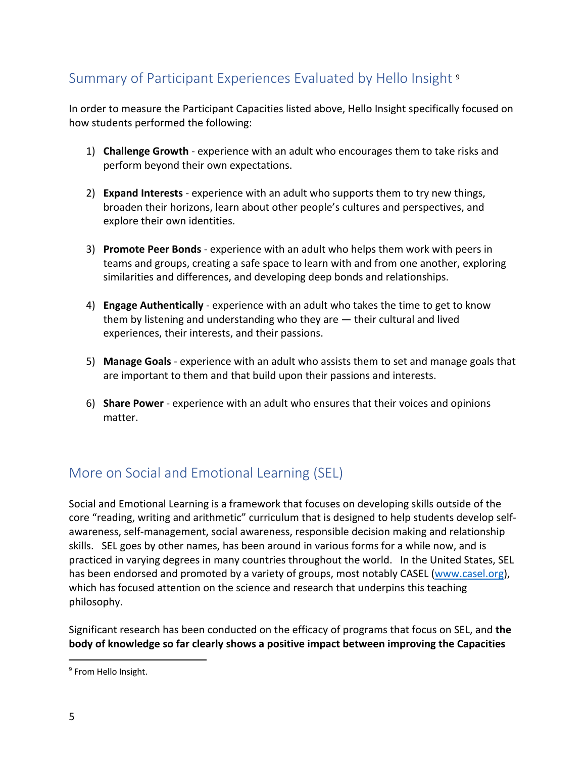# Summary of Participant Experiences Evaluated by Hello Insight <sup>9</sup>

In order to measure the Participant Capacities listed above, Hello Insight specifically focused on how students performed the following:

- 1) **Challenge Growth** experience with an adult who encourages them to take risks and perform beyond their own expectations.
- 2) **Expand Interests** experience with an adult who supports them to try new things, broaden their horizons, learn about other people's cultures and perspectives, and explore their own identities.
- 3) **Promote Peer Bonds** experience with an adult who helps them work with peers in teams and groups, creating a safe space to learn with and from one another, exploring similarities and differences, and developing deep bonds and relationships.
- 4) **Engage Authentically** experience with an adult who takes the time to get to know them by listening and understanding who they are — their cultural and lived experiences, their interests, and their passions.
- 5) **Manage Goals** experience with an adult who assists them to set and manage goals that are important to them and that build upon their passions and interests.
- 6) **Share Power** experience with an adult who ensures that their voices and opinions matter.

## More on Social and Emotional Learning (SEL)

Social and Emotional Learning is a framework that focuses on developing skills outside of the core "reading, writing and arithmetic" curriculum that is designed to help students develop selfawareness, self-management, social awareness, responsible decision making and relationship skills. SEL goes by other names, has been around in various forms for a while now, and is practiced in varying degrees in many countries throughout the world. In the United States, SEL has been endorsed and promoted by a variety of groups, most notably CASEL (www.casel.org), which has focused attention on the science and research that underpins this teaching philosophy.

Significant research has been conducted on the efficacy of programs that focus on SEL, and **the body of knowledge so far clearly shows a positive impact between improving the Capacities** 

<sup>&</sup>lt;sup>9</sup> From Hello Insight.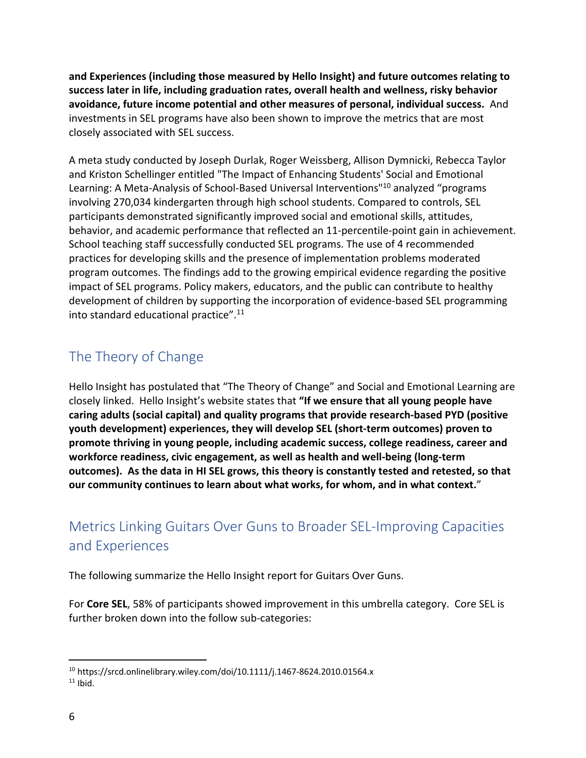**and Experiences (including those measured by Hello Insight) and future outcomes relating to success later in life, including graduation rates, overall health and wellness, risky behavior avoidance, future income potential and other measures of personal, individual success.** And investments in SEL programs have also been shown to improve the metrics that are most closely associated with SEL success.

A meta study conducted by Joseph Durlak, Roger Weissberg, Allison Dymnicki, Rebecca Taylor and Kriston Schellinger entitled "The Impact of Enhancing Students' Social and Emotional Learning: A Meta-Analysis of School-Based Universal Interventions"10 analyzed "programs involving 270,034 kindergarten through high school students. Compared to controls, SEL participants demonstrated significantly improved social and emotional skills, attitudes, behavior, and academic performance that reflected an 11-percentile-point gain in achievement. School teaching staff successfully conducted SEL programs. The use of 4 recommended practices for developing skills and the presence of implementation problems moderated program outcomes. The findings add to the growing empirical evidence regarding the positive impact of SEL programs. Policy makers, educators, and the public can contribute to healthy development of children by supporting the incorporation of evidence-based SEL programming into standard educational practice". 11

## The Theory of Change

Hello Insight has postulated that "The Theory of Change" and Social and Emotional Learning are closely linked. Hello Insight's website states that **"If we ensure that all young people have caring adults (social capital) and quality programs that provide research-based PYD (positive youth development) experiences, they will develop SEL (short-term outcomes) proven to promote thriving in young people, including academic success, college readiness, career and workforce readiness, civic engagement, as well as health and well-being (long-term outcomes). As the data in HI SEL grows, this theory is constantly tested and retested, so that our community continues to learn about what works, for whom, and in what context.**"

# Metrics Linking Guitars Over Guns to Broader SEL-Improving Capacities and Experiences

The following summarize the Hello Insight report for Guitars Over Guns.

For **Core SEL**, 58% of participants showed improvement in this umbrella category. Core SEL is further broken down into the follow sub-categories:

<sup>10</sup> https://srcd.onlinelibrary.wiley.com/doi/10.1111/j.1467-8624.2010.01564.x  $11$  Ibid.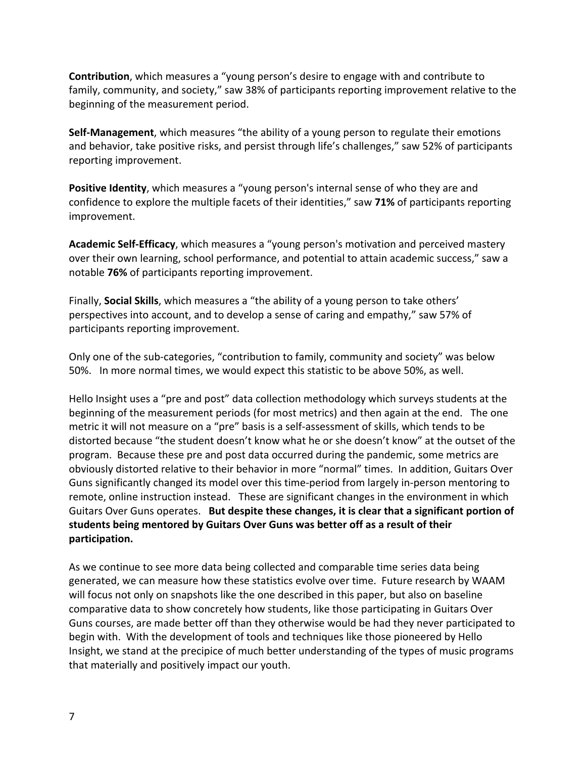**Contribution**, which measures a "young person's desire to engage with and contribute to family, community, and society," saw 38% of participants reporting improvement relative to the beginning of the measurement period.

**Self-Management**, which measures "the ability of a young person to regulate their emotions and behavior, take positive risks, and persist through life's challenges," saw 52% of participants reporting improvement.

**Positive Identity**, which measures a "young person's internal sense of who they are and confidence to explore the multiple facets of their identities," saw **71%** of participants reporting improvement.

**Academic Self-Efficacy**, which measures a "young person's motivation and perceived mastery over their own learning, school performance, and potential to attain academic success," saw a notable **76%** of participants reporting improvement.

Finally, **Social Skills**, which measures a "the ability of a young person to take others' perspectives into account, and to develop a sense of caring and empathy," saw 57% of participants reporting improvement.

Only one of the sub-categories, "contribution to family, community and society" was below 50%. In more normal times, we would expect this statistic to be above 50%, as well.

Hello Insight uses a "pre and post" data collection methodology which surveys students at the beginning of the measurement periods (for most metrics) and then again at the end. The one metric it will not measure on a "pre" basis is a self-assessment of skills, which tends to be distorted because "the student doesn't know what he or she doesn't know" at the outset of the program. Because these pre and post data occurred during the pandemic, some metrics are obviously distorted relative to their behavior in more "normal" times. In addition, Guitars Over Guns significantly changed its model over this time-period from largely in-person mentoring to remote, online instruction instead. These are significant changes in the environment in which Guitars Over Guns operates. **But despite these changes, it is clear that a significant portion of students being mentored by Guitars Over Guns was better off as a result of their participation.** 

As we continue to see more data being collected and comparable time series data being generated, we can measure how these statistics evolve over time. Future research by WAAM will focus not only on snapshots like the one described in this paper, but also on baseline comparative data to show concretely how students, like those participating in Guitars Over Guns courses, are made better off than they otherwise would be had they never participated to begin with. With the development of tools and techniques like those pioneered by Hello Insight, we stand at the precipice of much better understanding of the types of music programs that materially and positively impact our youth.